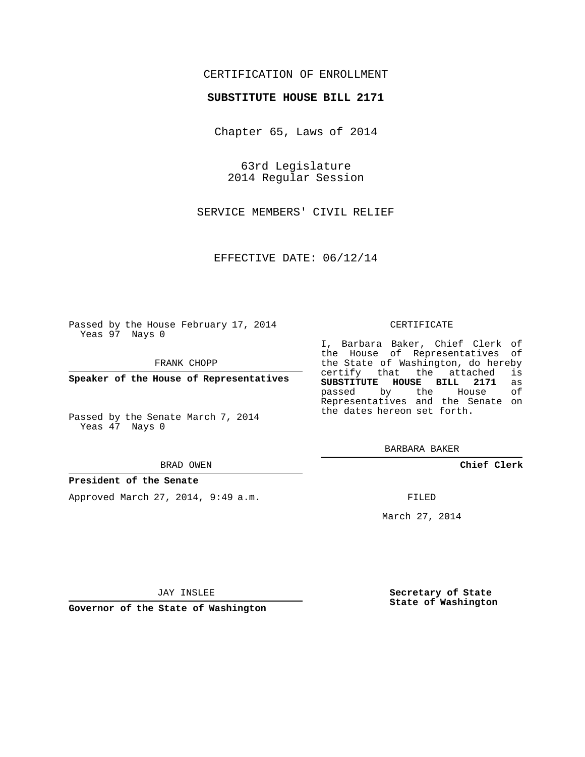### CERTIFICATION OF ENROLLMENT

### **SUBSTITUTE HOUSE BILL 2171**

Chapter 65, Laws of 2014

63rd Legislature 2014 Regular Session

SERVICE MEMBERS' CIVIL RELIEF

EFFECTIVE DATE: 06/12/14

Passed by the House February 17, 2014 Yeas 97 Nays 0

FRANK CHOPP

**Speaker of the House of Representatives**

Passed by the Senate March 7, 2014 Yeas 47 Nays 0

#### BRAD OWEN

#### **President of the Senate**

Approved March 27, 2014, 9:49 a.m.

#### CERTIFICATE

I, Barbara Baker, Chief Clerk of the House of Representatives of the State of Washington, do hereby<br>certify that the attached is certify that the attached is<br>SUBSTITUTE HOUSE BILL 2171 as **SUBSTITUTE HOUSE BILL 2171** as passed by the House Representatives and the Senate on the dates hereon set forth.

BARBARA BAKER

**Chief Clerk**

FILED

March 27, 2014

JAY INSLEE

**Governor of the State of Washington**

**Secretary of State State of Washington**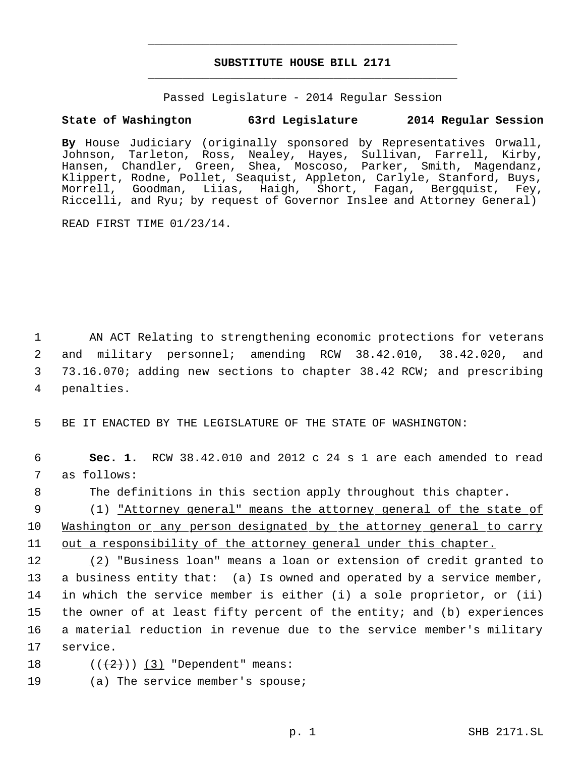# **SUBSTITUTE HOUSE BILL 2171** \_\_\_\_\_\_\_\_\_\_\_\_\_\_\_\_\_\_\_\_\_\_\_\_\_\_\_\_\_\_\_\_\_\_\_\_\_\_\_\_\_\_\_\_\_

\_\_\_\_\_\_\_\_\_\_\_\_\_\_\_\_\_\_\_\_\_\_\_\_\_\_\_\_\_\_\_\_\_\_\_\_\_\_\_\_\_\_\_\_\_

Passed Legislature - 2014 Regular Session

## **State of Washington 63rd Legislature 2014 Regular Session**

**By** House Judiciary (originally sponsored by Representatives Orwall, Johnson, Tarleton, Ross, Nealey, Hayes, Sullivan, Farrell, Kirby, Hansen, Chandler, Green, Shea, Moscoso, Parker, Smith, Magendanz, Klippert, Rodne, Pollet, Seaquist, Appleton, Carlyle, Stanford, Buys, Morrell, Goodman, Liias, Haigh, Short, Fagan, Bergquist, Fey, Riccelli, and Ryu; by request of Governor Inslee and Attorney General)

READ FIRST TIME 01/23/14.

 AN ACT Relating to strengthening economic protections for veterans and military personnel; amending RCW 38.42.010, 38.42.020, and 73.16.070; adding new sections to chapter 38.42 RCW; and prescribing penalties.

5 BE IT ENACTED BY THE LEGISLATURE OF THE STATE OF WASHINGTON:

 6 **Sec. 1.** RCW 38.42.010 and 2012 c 24 s 1 are each amended to read 7 as follows:

8 The definitions in this section apply throughout this chapter.

 9 (1) "Attorney general" means the attorney general of the state of 10 Washington or any person designated by the attorney general to carry 11 out a responsibility of the attorney general under this chapter.

12 (2) "Business loan" means a loan or extension of credit granted to a business entity that: (a) Is owned and operated by a service member, in which the service member is either (i) a sole proprietor, or (ii) the owner of at least fifty percent of the entity; and (b) experiences a material reduction in revenue due to the service member's military 17 service.

- 18  $((+2))$   $(3)$  "Dependent" means:
- 19 (a) The service member's spouse;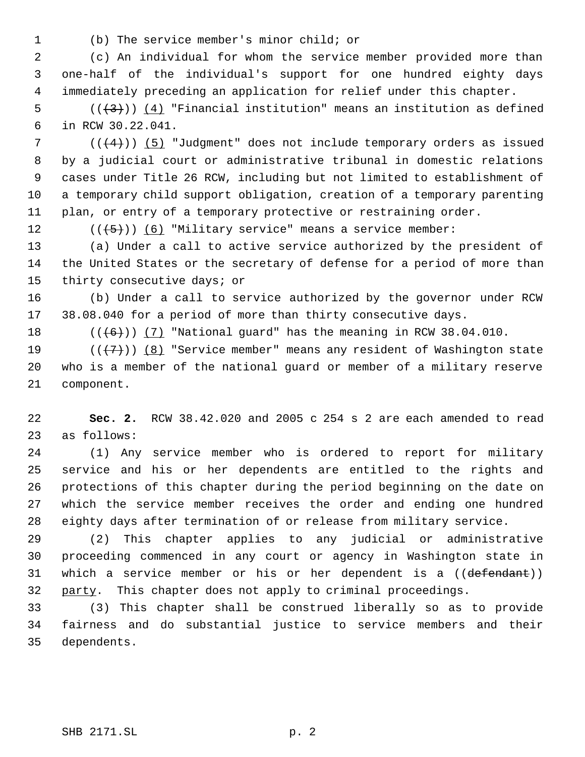(b) The service member's minor child; or

 (c) An individual for whom the service member provided more than one-half of the individual's support for one hundred eighty days immediately preceding an application for relief under this chapter.

5  $((+3))$   $(4)$  "Financial institution" means an institution as defined in RCW 30.22.041.

7 ( $(\frac{4}{4})$ ) (5) "Judgment" does not include temporary orders as issued by a judicial court or administrative tribunal in domestic relations cases under Title 26 RCW, including but not limited to establishment of a temporary child support obligation, creation of a temporary parenting plan, or entry of a temporary protective or restraining order.

12  $((\langle 5 \rangle)(6)$  "Military service" means a service member:

 (a) Under a call to active service authorized by the president of the United States or the secretary of defense for a period of more than thirty consecutive days; or

 (b) Under a call to service authorized by the governor under RCW 38.08.040 for a period of more than thirty consecutive days.

18  $((\overline{6}))$   $(7)$  "National guard" has the meaning in RCW 38.04.010.

19  $((+7))$   $(8)$  "Service member" means any resident of Washington state who is a member of the national guard or member of a military reserve component.

 **Sec. 2.** RCW 38.42.020 and 2005 c 254 s 2 are each amended to read as follows:

 (1) Any service member who is ordered to report for military service and his or her dependents are entitled to the rights and protections of this chapter during the period beginning on the date on which the service member receives the order and ending one hundred eighty days after termination of or release from military service.

 (2) This chapter applies to any judicial or administrative proceeding commenced in any court or agency in Washington state in 31 which a service member or his or her dependent is a ((defendant)) 32 party. This chapter does not apply to criminal proceedings.

 (3) This chapter shall be construed liberally so as to provide fairness and do substantial justice to service members and their dependents.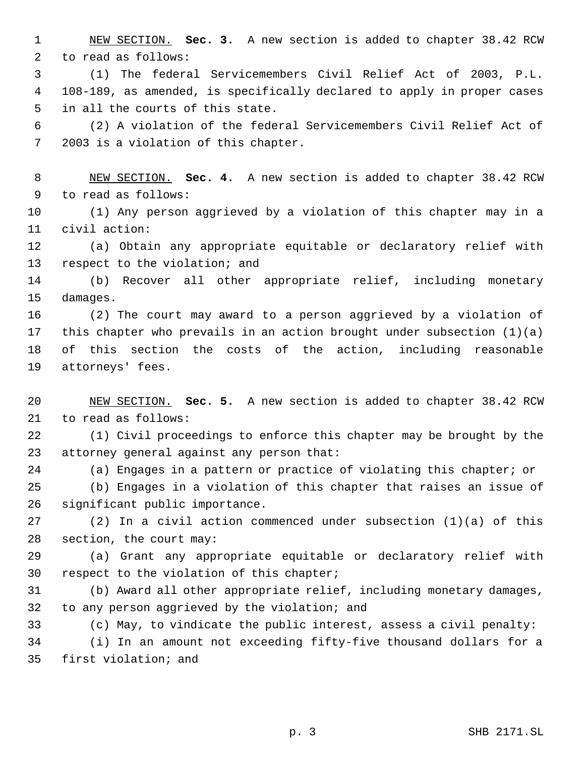NEW SECTION. **Sec. 3.** A new section is added to chapter 38.42 RCW to read as follows:

 (1) The federal Servicemembers Civil Relief Act of 2003, P.L. 108-189, as amended, is specifically declared to apply in proper cases in all the courts of this state.

 (2) A violation of the federal Servicemembers Civil Relief Act of 2003 is a violation of this chapter.

 NEW SECTION. **Sec. 4.** A new section is added to chapter 38.42 RCW to read as follows:

 (1) Any person aggrieved by a violation of this chapter may in a civil action:

 (a) Obtain any appropriate equitable or declaratory relief with respect to the violation; and

 (b) Recover all other appropriate relief, including monetary damages.

 (2) The court may award to a person aggrieved by a violation of this chapter who prevails in an action brought under subsection (1)(a) of this section the costs of the action, including reasonable attorneys' fees.

 NEW SECTION. **Sec. 5.** A new section is added to chapter 38.42 RCW to read as follows:

 (1) Civil proceedings to enforce this chapter may be brought by the attorney general against any person that:

(a) Engages in a pattern or practice of violating this chapter; or

 (b) Engages in a violation of this chapter that raises an issue of significant public importance.

 (2) In a civil action commenced under subsection (1)(a) of this section, the court may:

 (a) Grant any appropriate equitable or declaratory relief with respect to the violation of this chapter;

 (b) Award all other appropriate relief, including monetary damages, to any person aggrieved by the violation; and

(c) May, to vindicate the public interest, assess a civil penalty:

 (i) In an amount not exceeding fifty-five thousand dollars for a first violation; and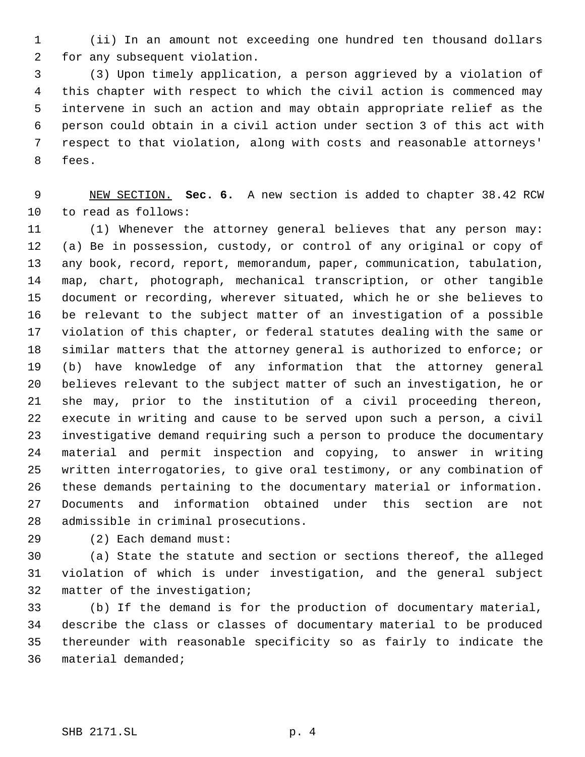(ii) In an amount not exceeding one hundred ten thousand dollars for any subsequent violation.

 (3) Upon timely application, a person aggrieved by a violation of this chapter with respect to which the civil action is commenced may intervene in such an action and may obtain appropriate relief as the person could obtain in a civil action under section 3 of this act with respect to that violation, along with costs and reasonable attorneys' fees.

 NEW SECTION. **Sec. 6.** A new section is added to chapter 38.42 RCW to read as follows:

 (1) Whenever the attorney general believes that any person may: (a) Be in possession, custody, or control of any original or copy of any book, record, report, memorandum, paper, communication, tabulation, map, chart, photograph, mechanical transcription, or other tangible document or recording, wherever situated, which he or she believes to be relevant to the subject matter of an investigation of a possible violation of this chapter, or federal statutes dealing with the same or similar matters that the attorney general is authorized to enforce; or (b) have knowledge of any information that the attorney general believes relevant to the subject matter of such an investigation, he or she may, prior to the institution of a civil proceeding thereon, execute in writing and cause to be served upon such a person, a civil investigative demand requiring such a person to produce the documentary material and permit inspection and copying, to answer in writing written interrogatories, to give oral testimony, or any combination of these demands pertaining to the documentary material or information. Documents and information obtained under this section are not admissible in criminal prosecutions.

(2) Each demand must:

 (a) State the statute and section or sections thereof, the alleged violation of which is under investigation, and the general subject matter of the investigation;

 (b) If the demand is for the production of documentary material, describe the class or classes of documentary material to be produced thereunder with reasonable specificity so as fairly to indicate the material demanded;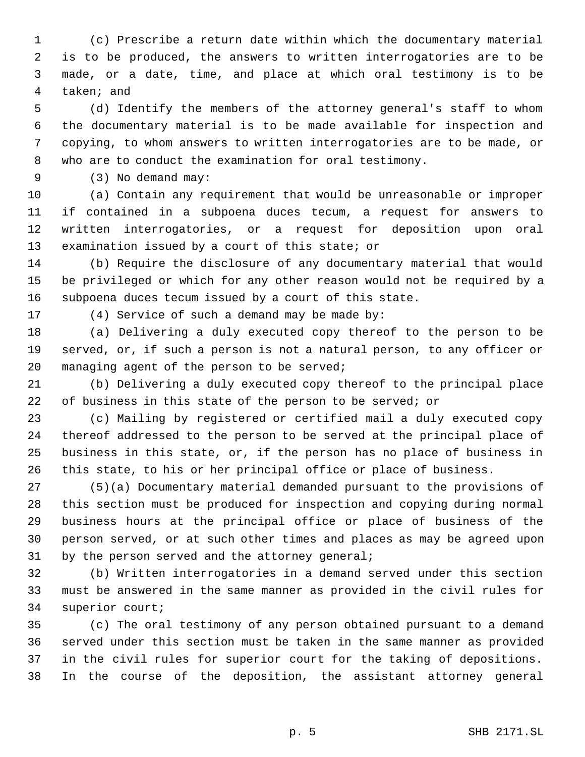(c) Prescribe a return date within which the documentary material is to be produced, the answers to written interrogatories are to be made, or a date, time, and place at which oral testimony is to be taken; and

 (d) Identify the members of the attorney general's staff to whom the documentary material is to be made available for inspection and copying, to whom answers to written interrogatories are to be made, or who are to conduct the examination for oral testimony.

(3) No demand may:

 (a) Contain any requirement that would be unreasonable or improper if contained in a subpoena duces tecum, a request for answers to written interrogatories, or a request for deposition upon oral examination issued by a court of this state; or

 (b) Require the disclosure of any documentary material that would be privileged or which for any other reason would not be required by a subpoena duces tecum issued by a court of this state.

(4) Service of such a demand may be made by:

 (a) Delivering a duly executed copy thereof to the person to be served, or, if such a person is not a natural person, to any officer or managing agent of the person to be served;

 (b) Delivering a duly executed copy thereof to the principal place of business in this state of the person to be served; or

 (c) Mailing by registered or certified mail a duly executed copy thereof addressed to the person to be served at the principal place of business in this state, or, if the person has no place of business in this state, to his or her principal office or place of business.

 (5)(a) Documentary material demanded pursuant to the provisions of this section must be produced for inspection and copying during normal business hours at the principal office or place of business of the person served, or at such other times and places as may be agreed upon 31 by the person served and the attorney general;

 (b) Written interrogatories in a demand served under this section must be answered in the same manner as provided in the civil rules for superior court;

 (c) The oral testimony of any person obtained pursuant to a demand served under this section must be taken in the same manner as provided in the civil rules for superior court for the taking of depositions. In the course of the deposition, the assistant attorney general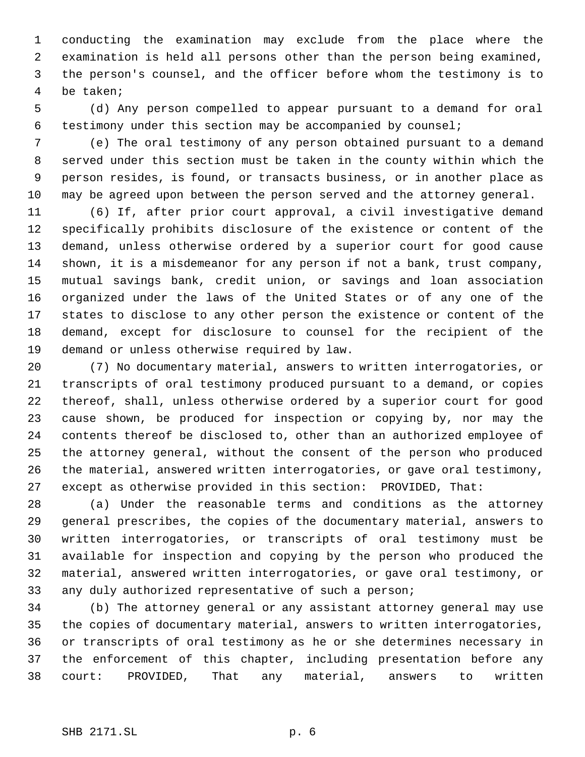conducting the examination may exclude from the place where the examination is held all persons other than the person being examined, the person's counsel, and the officer before whom the testimony is to be taken;

 (d) Any person compelled to appear pursuant to a demand for oral testimony under this section may be accompanied by counsel;

 (e) The oral testimony of any person obtained pursuant to a demand served under this section must be taken in the county within which the person resides, is found, or transacts business, or in another place as may be agreed upon between the person served and the attorney general.

 (6) If, after prior court approval, a civil investigative demand specifically prohibits disclosure of the existence or content of the demand, unless otherwise ordered by a superior court for good cause shown, it is a misdemeanor for any person if not a bank, trust company, mutual savings bank, credit union, or savings and loan association organized under the laws of the United States or of any one of the states to disclose to any other person the existence or content of the demand, except for disclosure to counsel for the recipient of the demand or unless otherwise required by law.

 (7) No documentary material, answers to written interrogatories, or transcripts of oral testimony produced pursuant to a demand, or copies thereof, shall, unless otherwise ordered by a superior court for good cause shown, be produced for inspection or copying by, nor may the contents thereof be disclosed to, other than an authorized employee of the attorney general, without the consent of the person who produced the material, answered written interrogatories, or gave oral testimony, except as otherwise provided in this section: PROVIDED, That:

 (a) Under the reasonable terms and conditions as the attorney general prescribes, the copies of the documentary material, answers to written interrogatories, or transcripts of oral testimony must be available for inspection and copying by the person who produced the material, answered written interrogatories, or gave oral testimony, or any duly authorized representative of such a person;

 (b) The attorney general or any assistant attorney general may use the copies of documentary material, answers to written interrogatories, or transcripts of oral testimony as he or she determines necessary in the enforcement of this chapter, including presentation before any court: PROVIDED, That any material, answers to written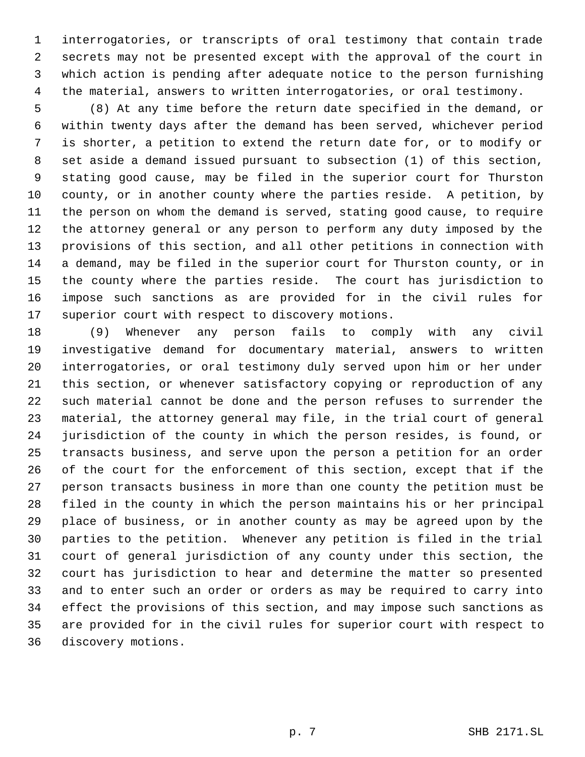interrogatories, or transcripts of oral testimony that contain trade secrets may not be presented except with the approval of the court in which action is pending after adequate notice to the person furnishing the material, answers to written interrogatories, or oral testimony.

 (8) At any time before the return date specified in the demand, or within twenty days after the demand has been served, whichever period is shorter, a petition to extend the return date for, or to modify or set aside a demand issued pursuant to subsection (1) of this section, stating good cause, may be filed in the superior court for Thurston county, or in another county where the parties reside. A petition, by the person on whom the demand is served, stating good cause, to require the attorney general or any person to perform any duty imposed by the provisions of this section, and all other petitions in connection with a demand, may be filed in the superior court for Thurston county, or in the county where the parties reside. The court has jurisdiction to impose such sanctions as are provided for in the civil rules for superior court with respect to discovery motions.

 (9) Whenever any person fails to comply with any civil investigative demand for documentary material, answers to written interrogatories, or oral testimony duly served upon him or her under this section, or whenever satisfactory copying or reproduction of any such material cannot be done and the person refuses to surrender the material, the attorney general may file, in the trial court of general jurisdiction of the county in which the person resides, is found, or transacts business, and serve upon the person a petition for an order of the court for the enforcement of this section, except that if the person transacts business in more than one county the petition must be filed in the county in which the person maintains his or her principal place of business, or in another county as may be agreed upon by the parties to the petition. Whenever any petition is filed in the trial court of general jurisdiction of any county under this section, the court has jurisdiction to hear and determine the matter so presented and to enter such an order or orders as may be required to carry into effect the provisions of this section, and may impose such sanctions as are provided for in the civil rules for superior court with respect to discovery motions.